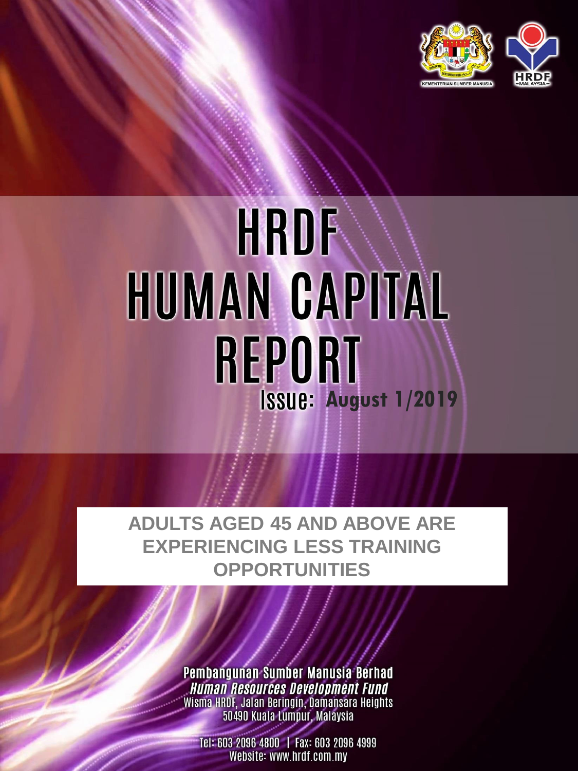

# **HRDF** HUMAN CAPITAL **REPORT August 1/2019**

## **ADULTS AGED 45 AND ABOVE ARE EXPERIENCING LESS TRAINING OPPORTUNITIES**

Pembangunan Sumber Manusia Berhad **Human Resources Development Fund** Wisma HRDF, Jalan Beringin, Damansara Heights<br>50490 Kuala Lumpur, Malaysia

Tel: 603 2096 4800 | Fax: 603 2096 4999 Website: www.hrdf.com.my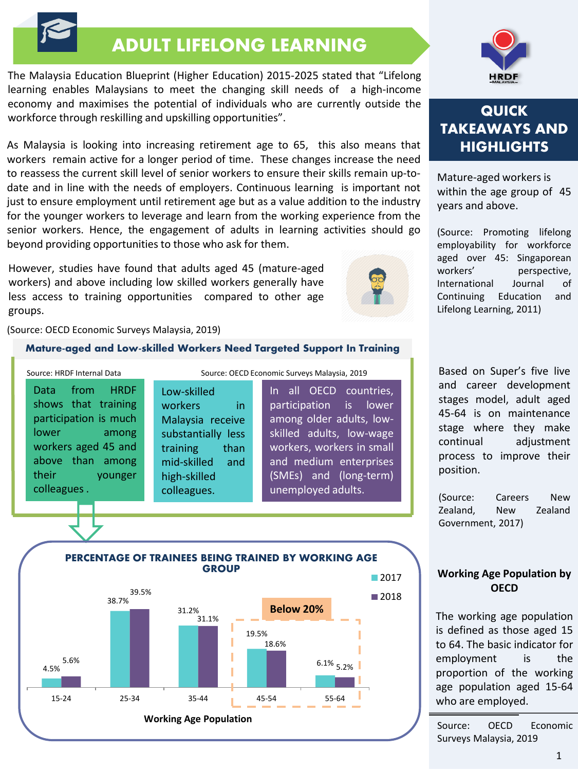## ADULT LIFELONG LEARNING

The Malaysia Education Blueprint (Higher Education) 2015-2025 stated that "Lifelong learning enables Malaysians to meet the changing skill needs of a high-income economy and maximises the potential of individuals who are currently outside the workforce through reskilling and upskilling opportunities".

As Malaysia is looking into increasing retirement age to 65, this also means that workers remain active for a longer period of time. These changes increase the need to reassess the current skill level of senior workers to ensure their skills remain up-todate and in line with the needs of employers. Continuous learning is important not just to ensure employment until retirement age but as a value addition to the industry for the younger workers to leverage and learn from the working experience from the senior workers. Hence, the engagement of adults in learning activities should go beyond providing opportunities to those who ask for them.

However, studies have found that adults aged 45 (mature-aged workers) and above including low skilled workers generally have less access to training opportunities compared to other age groups.



(Source: OECD Economic Surveys Malaysia, 2019)

#### Mature-aged and Low-skilled Workers Need Targeted Support In Training

Data from HRDF shows that training participation is much lower among workers aged 45 and above than among their younger colleagues. Source: HRDF Internal Data Source: OECD Economic Surveys Malaysia, 2019

Low-skilled workers in Malaysia receive substantially less training than mid-skilled and high-skilled colleagues.

In all OECD countries, participation is lower among older adults, lowskilled adults, low-wage workers, workers in small and medium enterprises (SMEs) and (long-term) unemployed adults.





### **QUICK TAKEAWAYS AND HIGHLIGHTS**

Mature-aged workers is within the age group of 45 years and above.

(Source: Promoting lifelong employability for workforce aged over 45: Singaporean workers' perspective, International Journal of Continuing Education and Lifelong Learning, 2011)

Based on Super's five live and career development stages model, adult aged 45-64 is on maintenance stage where they make continual adjustment process to improve their position.

(Source: Careers New Zealand, New Zealand Government, 2017)

#### **Working Age Population by OECD**

The working age population is defined as those aged 15 to 64. The basic indicator for employment is the proportion of the working age population aged 15-64 who are employed.

Source: OECD Economic Surveys Malaysia, 2019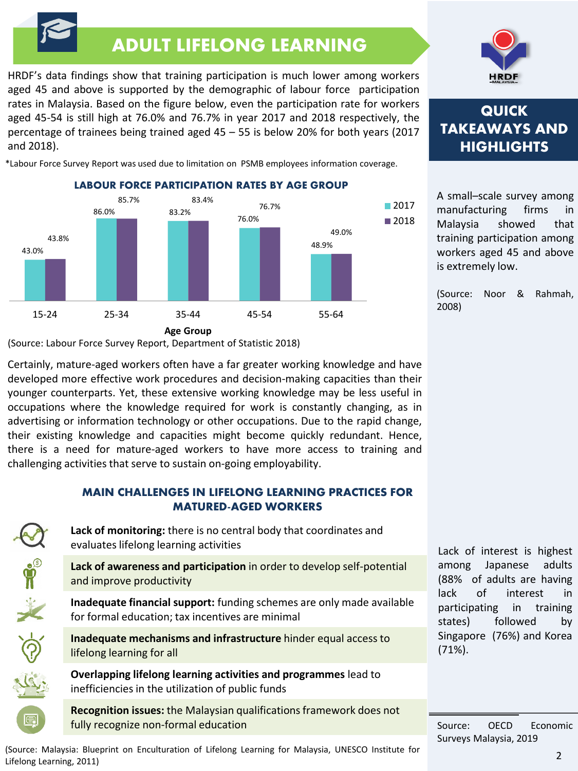# ADULT LIFELONG LEARNING

HRDF's data findings show that training participation is much lower among workers aged 45 and above is supported by the demographic of labour force participation rates in Malaysia. Based on the figure below, even the participation rate for workers aged 45-54 is still high at 76.0% and 76.7% in year 2017 and 2018 respectively, the percentage of trainees being trained aged 45 – 55 is below 20% for both years (2017 and 2018).

\*Labour Force Survey Report was used due to limitation on PSMB employees information coverage.

**LABOUR FORCE PARTICIPATION RATES BY AGE GROUP**



(Source: Labour Force Survey Report, Department of Statistic 2018)

 $\frac{1}{2}$   $\frac{1}{2}$   $\frac{1}{2}$   $\frac{1}{2}$ 

Certainly, mature-aged workers often have a far greater working knowledge and have developed more effective work procedures and decision-making capacities than their younger counterparts. Yet, these extensive working knowledge may be less useful in occupations where the knowledge required for work is constantly changing, as in advertising or information technology or other occupations. Due to the rapid change, their existing knowledge and capacities might become quickly redundant. Hence, there is a need for mature-aged workers to have more access to training and challenging activities that serve to sustain on-going employability.

#### MAIN CHALLENGES IN LIFELONG LEARNING PRACTICES FOR MATURED-AGED WORKERS

**Lack of monitoring:** there is no central body that coordinates and evaluates lifelong learning activities

**Lack of awareness and participation** in order to develop self-potential and improve productivity

**Inadequate financial support:** funding schemes are only made available for formal education; tax incentives are minimal

**Inadequate mechanisms and infrastructure** hinder equal access to lifelong learning for all

**Overlapping lifelong learning activities and programmes** lead to inefficiencies in the utilization of public funds

**Recognition issues:** the Malaysian qualifications framework does not fully recognize non-formal education





## **QUICK TAKEAWAYS AND HIGHLIGHTS**

A small–scale survey among manufacturing firms in Malaysia showed that training participation among workers aged 45 and above is extremely low.

(Source: Noor & Rahmah, 2008)

Lack of interest is highest among Japanese adults (88% of adults are having lack of interest in participating in training states) followed by Singapore (76%) and Korea (71%).

Source: OECD Economic Surveys Malaysia, 2019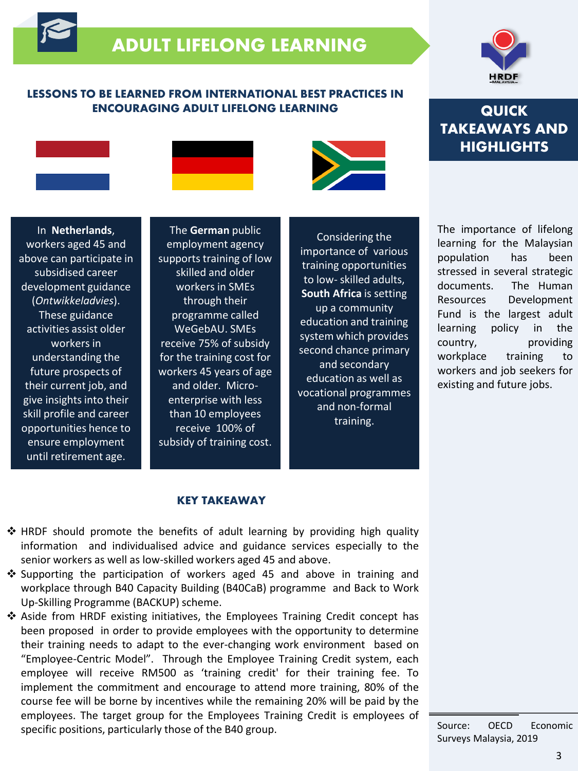# ADULT LIFELONG LEARNING

#### LESSONS TO BE LEARNED FROM INTERNATIONAL BEST PRACTICES IN ENCOURAGING ADULT LIFELONG LEARNING



## **QUICK TAKEAWAYS AND HIGHLIGHTS**

In **Netherlands**, workers aged 45 and above can participate in subsidised career development guidance (*Ontwikkeladvies*). These guidance activities assist older workers in understanding the future prospects of their current job, and give insights into their skill profile and career opportunities hence to ensure employment until retirement age.

The **German** public employment agency supports training of low skilled and older workers in SMEs through their programme called WeGebAU. SMEs receive 75% of subsidy for the training cost for workers 45 years of age and older. Microenterprise with less than 10 employees receive 100% of subsidy of training cost.

Considering the importance of various training opportunities to low- skilled adults, **South Africa** is setting up a community education and training system which provides second chance primary and secondary education as well as vocational programmes and non-formal training.

The importance of lifelong learning for the Malaysian population has been stressed in several strategic documents. The Human Resources Development Fund is the largest adult learning policy in the country, providing workplace training to workers and job seekers for existing and future jobs.

#### KEY TAKEAWAY

- $\div$  HRDF should promote the benefits of adult learning by providing high quality information and individualised advice and guidance services especially to the senior workers as well as low-skilled workers aged 45 and above.
- $\div$  Supporting the participation of workers aged 45 and above in training and workplace through B40 Capacity Building (B40CaB) programme and Back to Work Up-Skilling Programme (BACKUP) scheme.
- Aside from HRDF existing initiatives, the Employees Training Credit concept has been proposed in order to provide employees with the opportunity to determine their training needs to adapt to the ever-changing work environment based on "Employee-Centric Model". Through the Employee Training Credit system, each employee will receive RM500 as 'training credit' for their training fee. To implement the commitment and encourage to attend more training, 80% of the course fee will be borne by incentives while the remaining 20% will be paid by the employees. The target group for the Employees Training Credit is employees of specific positions, particularly those of the B40 group.

Source: OECD Economic Surveys Malaysia, 2019